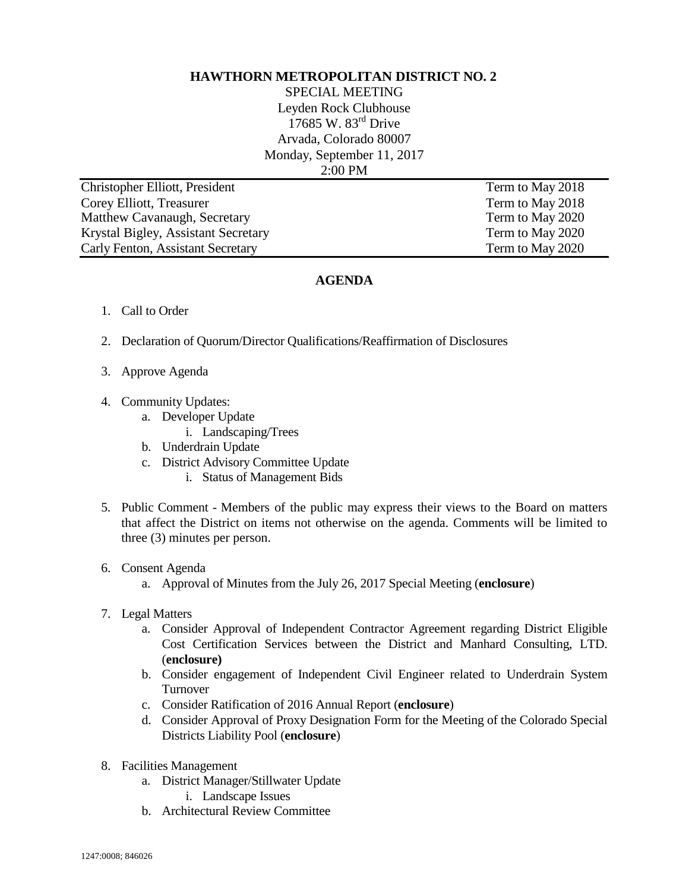## **HAWTHORN METROPOLITAN DISTRICT NO. 2**

SPECIAL MEETING Leyden Rock Clubhouse 17685 W. 83<sup>rd</sup> Drive Arvada, Colorado 80007 Monday, September 11, 2017 2:00 PM

**Christopher Elliott, President Term to May 2018** Corey Elliott, Treasurer Term to May 2018 Matthew Cavanaugh, Secretary Term to May 2020 Krystal Bigley, Assistant Secretary Term to May 2020 Carly Fenton, Assistant Secretary Term to May 2020

## **AGENDA**

- 1. Call to Order
- 2. Declaration of Quorum/Director Qualifications/Reaffirmation of Disclosures
- 3. Approve Agenda
- 4. Community Updates:
	- a. Developer Update
		- i. Landscaping/Trees
	- b. Underdrain Update
	- c. District Advisory Committee Update
		- i. Status of Management Bids
- 5. Public Comment Members of the public may express their views to the Board on matters that affect the District on items not otherwise on the agenda. Comments will be limited to three (3) minutes per person.
- 6. Consent Agenda
	- a. Approval of Minutes from the July 26, 2017 Special Meeting (**enclosure**)
- 7. Legal Matters
	- a. Consider Approval of Independent Contractor Agreement regarding District Eligible Cost Certification Services between the District and Manhard Consulting, LTD. (**enclosure)**
	- b. Consider engagement of Independent Civil Engineer related to Underdrain System Turnover
	- c. Consider Ratification of 2016 Annual Report (**enclosure**)
	- d. Consider Approval of Proxy Designation Form for the Meeting of the Colorado Special Districts Liability Pool (**enclosure**)
- 8. Facilities Management
	- a. District Manager/Stillwater Update
		- i. Landscape Issues
	- b. Architectural Review Committee